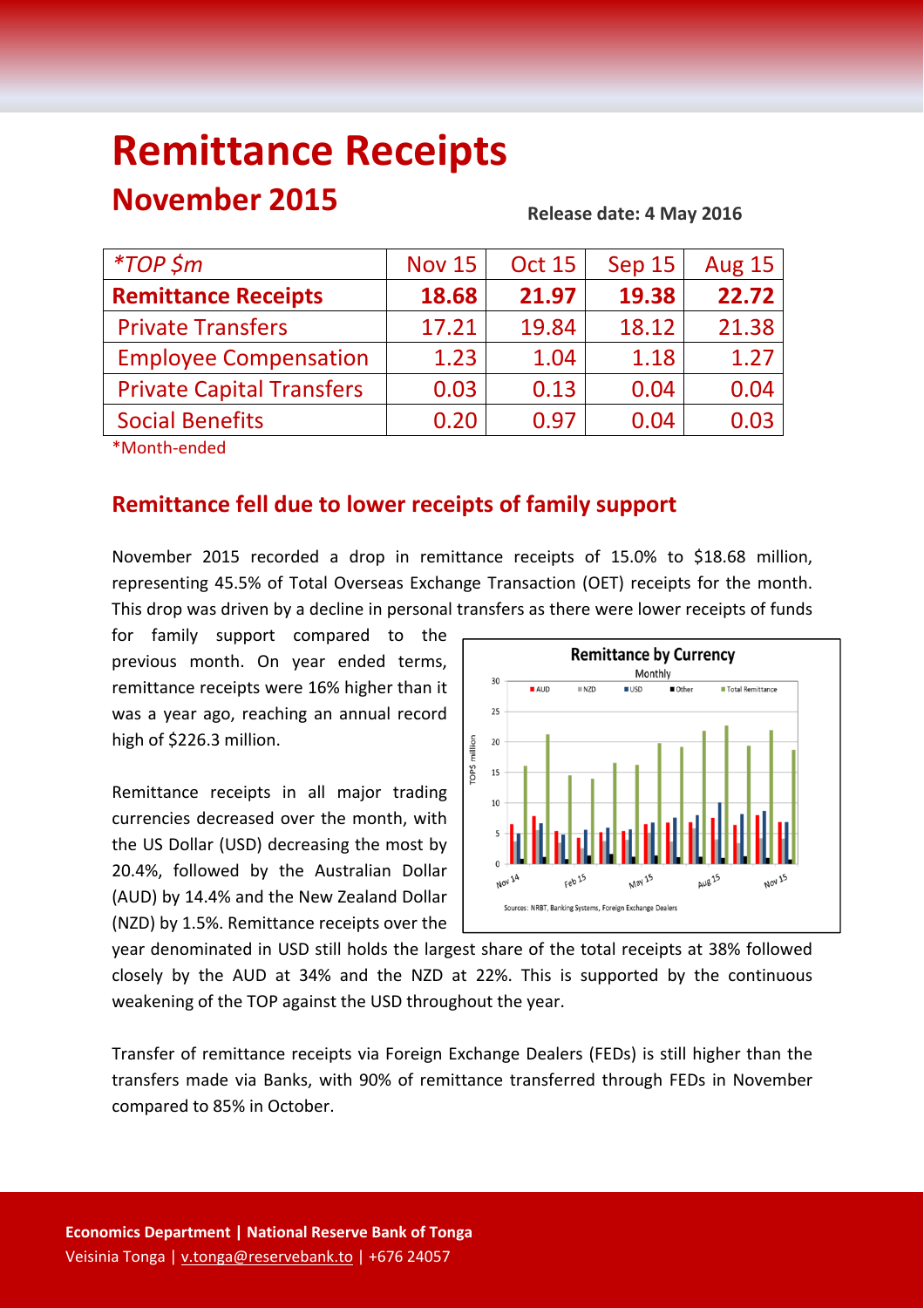# **Remittance Receipts**

## **November 2015**

#### **Release date: 4 May 2016**

| <i>*TOP</i> \$m                  | <b>Nov 15</b> | <b>Oct 15</b> | Sep 15 | <b>Aug 15</b> |
|----------------------------------|---------------|---------------|--------|---------------|
| <b>Remittance Receipts</b>       | 18.68         | 21.97         | 19.38  | 22.72         |
| <b>Private Transfers</b>         | 17.21         | 19.84         | 18.12  | 21.38         |
| <b>Employee Compensation</b>     | 1.23          | 1.04          | 1.18   | 1.27          |
| <b>Private Capital Transfers</b> | 0.03          | 0.13          | 0.04   | 0.04          |
| <b>Social Benefits</b>           | 0.20          | 0.97          | 0.04   | 0.03          |
|                                  |               |               |        |               |

\*Month‐ended

### **Remittance fell due to lower receipts of family support**

November 2015 recorded a drop in remittance receipts of 15.0% to \$18.68 million, representing 45.5% of Total Overseas Exchange Transaction (OET) receipts for the month. This drop was driven by a decline in personal transfers as there were lower receipts of funds

for family support compared to the previous month. On year ended terms, remittance receipts were 16% higher than it was a year ago, reaching an annual record high of \$226.3 million.

Remittance receipts in all major trading currencies decreased over the month, with the US Dollar (USD) decreasing the most by 20.4%, followed by the Australian Dollar (AUD) by 14.4% and the New Zealand Dollar (NZD) by 1.5%. Remittance receipts over the



year denominated in USD still holds the largest share of the total receipts at 38% followed closely by the AUD at 34% and the NZD at 22%. This is supported by the continuous weakening of the TOP against the USD throughout the year.

Transfer of remittance receipts via Foreign Exchange Dealers (FEDs) is still higher than the transfers made via Banks, with 90% of remittance transferred through FEDs in November compared to 85% in October.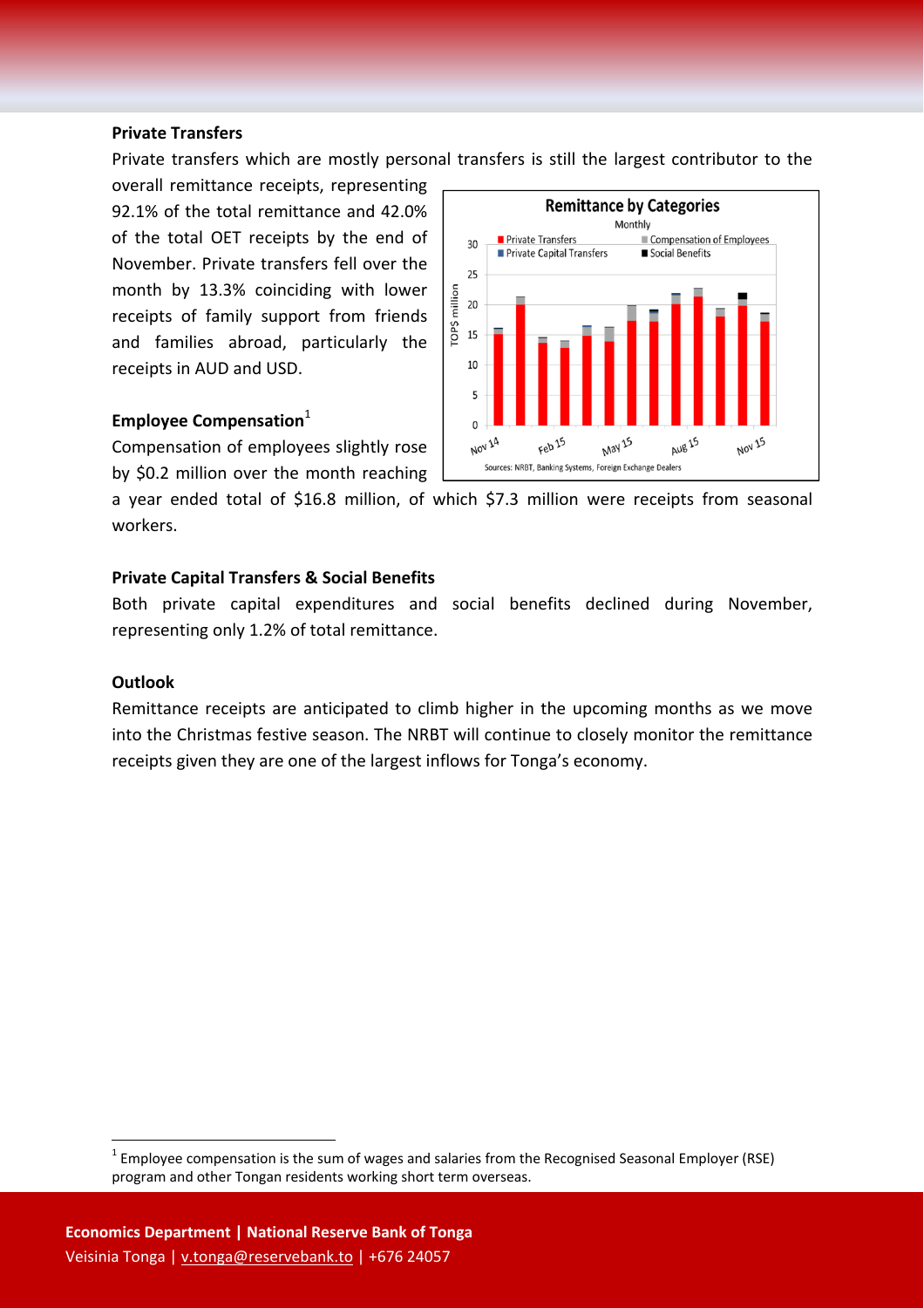#### **Private Transfers**

Private transfers which are mostly personal transfers is still the largest contributor to the

overall remittance receipts, representing 92.1% of the total remittance and 42.0% of the total OET receipts by the end of November. Private transfers fell over the month by 13.3% coinciding with lower receipts of family support from friends and families abroad, particularly the receipts in AUD and USD.

#### **Employee Compensation**<sup>1</sup>

Compensation of employees slightly rose by \$0.2 million over the month reaching

**Remittance by Categories** Monthly Private Transfers Compensation of Employees  $30$ Private Capital Transfers Social Benefits 25 rop\$ million 20 15 10 5  $\overline{\mathbf{0}}$   $\overline{\mathbf{0}}$   $\overline{\mathbf{1}}$ **AUB 15** NOV 14 Feb<sub>15</sub> May 15 **NOV 15** Sources: NRBT, Banking Systems, Foreign Exchange Dealers

a year ended total of \$16.8 million, of which \$7.3 million were receipts from seasonal workers.

#### **Private Capital Transfers & Social Benefits**

Both private capital expenditures and social benefits declined during November, representing only 1.2% of total remittance.

#### **Outlook**

Remittance receipts are anticipated to climb higher in the upcoming months as we move into the Christmas festive season. The NRBT will continue to closely monitor the remittance receipts given they are one of the largest inflows for Tonga's economy.

 $1$  Employee compensation is the sum of wages and salaries from the Recognised Seasonal Employer (RSE) program and other Tongan residents working short term overseas.